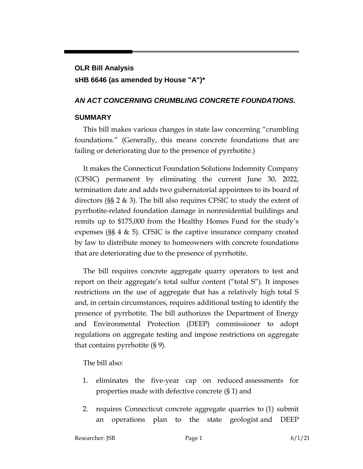# **OLR Bill Analysis sHB 6646 (as amended by House "A")\***

#### *AN ACT CONCERNING CRUMBLING CONCRETE FOUNDATIONS.*

#### **SUMMARY**

This bill makes various changes in state law concerning "crumbling foundations." (Generally, this means concrete foundations that are failing or deteriorating due to the presence of pyrrhotite.)

It makes the Connecticut Foundation Solutions Indemnity Company (CFSIC) permanent by eliminating the current June 30, 2022, termination date and adds two gubernatorial appointees to its board of directors (§§ 2 & 3). The bill also requires CFSIC to study the extent of pyrrhotite-related foundation damage in nonresidential buildings and remits up to \$175,000 from the Healthy Homes Fund for the study's expenses (§§ 4 & 5). CFSIC is the captive insurance company created by law to distribute money to homeowners with concrete foundations that are deteriorating due to the presence of pyrrhotite.

The bill requires concrete aggregate quarry operators to test and report on their aggregate's total sulfur content ("total S"). It imposes restrictions on the use of aggregate that has a relatively high total S and, in certain circumstances, requires additional testing to identify the presence of pyrrhotite. The bill authorizes the Department of Energy and Environmental Protection (DEEP) commissioner to adopt regulations on aggregate testing and impose restrictions on aggregate that contains pyrrhotite (§ 9).

The bill also:

- 1. eliminates the five-year cap on reduced assessments for properties made with defective concrete (§ 1) and
- 2. requires Connecticut concrete aggregate quarries to (1) submit an operations plan to the state geologist and DEEP

Researcher: JSB **Page 1** 6/1/21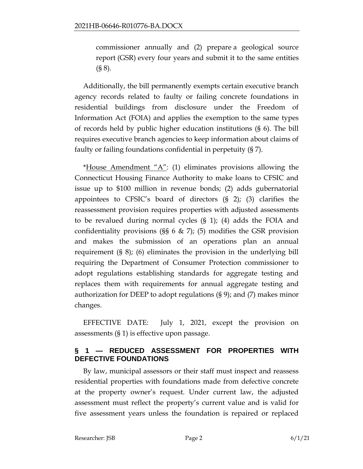commissioner annually and (2) prepare a geological source report (GSR) every four years and submit it to the same entities (§ 8).

Additionally, the bill permanently exempts certain executive branch agency records related to faulty or failing concrete foundations in residential buildings from disclosure under the Freedom of Information Act (FOIA) and applies the exemption to the same types of records held by public higher education institutions (§ 6). The bill requires executive branch agencies to keep information about claims of faulty or failing foundations confidential in perpetuity (§ 7).

\*House Amendment  $A''$ : (1) eliminates provisions allowing the Connecticut Housing Finance Authority to make loans to CFSIC and issue up to \$100 million in revenue bonds; (2) adds gubernatorial appointees to CFSIC's board of directors (§ 2); (3) clarifies the reassessment provision requires properties with adjusted assessments to be revalued during normal cycles (§ 1); (4) adds the FOIA and confidentiality provisions (§§ 6  $\&$  7); (5) modifies the GSR provision and makes the submission of an operations plan an annual requirement (§ 8); (6) eliminates the provision in the underlying bill requiring the Department of Consumer Protection commissioner to adopt regulations establishing standards for aggregate testing and replaces them with requirements for annual aggregate testing and authorization for DEEP to adopt regulations (§ 9); and (7) makes minor changes.

EFFECTIVE DATE: July 1, 2021, except the provision on assessments (§ 1) is effective upon passage.

### **§ 1 — REDUCED ASSESSMENT FOR PROPERTIES WITH DEFECTIVE FOUNDATIONS**

By law, municipal assessors or their staff must inspect and reassess residential properties with foundations made from defective concrete at the property owner's request. Under current law, the adjusted assessment must reflect the property's current value and is valid for five assessment years unless the foundation is repaired or replaced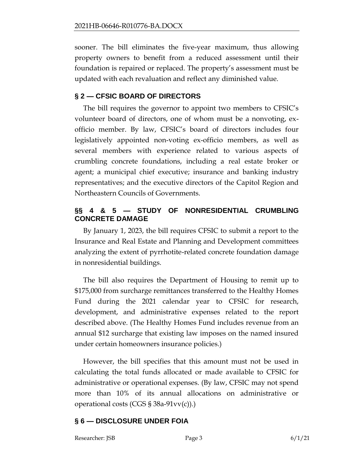sooner. The bill eliminates the five-year maximum, thus allowing property owners to benefit from a reduced assessment until their foundation is repaired or replaced. The property's assessment must be updated with each revaluation and reflect any diminished value.

# **§ 2 — CFSIC BOARD OF DIRECTORS**

The bill requires the governor to appoint two members to CFSIC's volunteer board of directors, one of whom must be a nonvoting, exofficio member. By law, CFSIC's board of directors includes four legislatively appointed non-voting ex-officio members, as well as several members with experience related to various aspects of crumbling concrete foundations, including a real estate broker or agent; a municipal chief executive; insurance and banking industry representatives; and the executive directors of the Capitol Region and Northeastern Councils of Governments.

# **§§ 4 & 5 — STUDY OF NONRESIDENTIAL CRUMBLING CONCRETE DAMAGE**

By January 1, 2023, the bill requires CFSIC to submit a report to the Insurance and Real Estate and Planning and Development committees analyzing the extent of pyrrhotite-related concrete foundation damage in nonresidential buildings.

The bill also requires the Department of Housing to remit up to \$175,000 from surcharge remittances transferred to the Healthy Homes Fund during the 2021 calendar year to CFSIC for research, development, and administrative expenses related to the report described above. (The Healthy Homes Fund includes revenue from an annual \$12 surcharge that existing law imposes on the named insured under certain homeowners insurance policies.)

However, the bill specifies that this amount must not be used in calculating the total funds allocated or made available to CFSIC for administrative or operational expenses. (By law, CFSIC may not spend more than 10% of its annual allocations on administrative or operational costs (CGS § 38a-91vv(c)).)

# **§ 6 — DISCLOSURE UNDER FOIA**

Researcher: JSB Page 3 6/1/21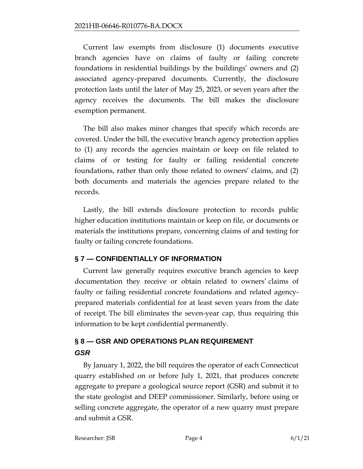Current law exempts from disclosure (1) documents executive branch agencies have on claims of faulty or failing concrete foundations in residential buildings by the buildings' owners and (2) associated agency-prepared documents. Currently, the disclosure protection lasts until the later of May 25, 2023, or seven years after the agency receives the documents. The bill makes the disclosure exemption permanent.

The bill also makes minor changes that specify which records are covered. Under the bill, the executive branch agency protection applies to (1) any records the agencies maintain or keep on file related to claims of or testing for faulty or failing residential concrete foundations, rather than only those related to owners' claims, and (2) both documents and materials the agencies prepare related to the records.

Lastly, the bill extends disclosure protection to records public higher education institutions maintain or keep on file, or documents or materials the institutions prepare, concerning claims of and testing for faulty or failing concrete foundations.

#### **§ 7 — CONFIDENTIALLY OF INFORMATION**

Current law generally requires executive branch agencies to keep documentation they receive or obtain related to owners' claims of faulty or failing residential concrete foundations and related agencyprepared materials confidential for at least seven years from the date of receipt. The bill eliminates the seven-year cap, thus requiring this information to be kept confidential permanently.

# **§ 8 — GSR AND OPERATIONS PLAN REQUIREMENT**  *GSR*

By January 1, 2022, the bill requires the operator of each Connecticut quarry established on or before July 1, 2021, that produces concrete aggregate to prepare a geological source report (GSR) and submit it to the state geologist and DEEP commissioner. Similarly, before using or selling concrete aggregate, the operator of a new quarry must prepare and submit a GSR.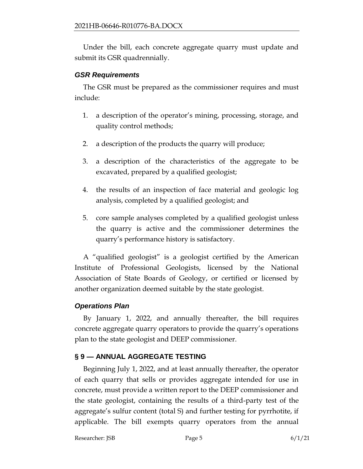Under the bill, each concrete aggregate quarry must update and submit its GSR quadrennially.

# *GSR Requirements*

The GSR must be prepared as the commissioner requires and must include:

- 1. a description of the operator's mining, processing, storage, and quality control methods;
- 2. a description of the products the quarry will produce;
- 3. a description of the characteristics of the aggregate to be excavated, prepared by a qualified geologist;
- 4. the results of an inspection of face material and geologic log analysis, completed by a qualified geologist; and
- 5. core sample analyses completed by a qualified geologist unless the quarry is active and the commissioner determines the quarry's performance history is satisfactory.

A "qualified geologist" is a geologist certified by the American Institute of Professional Geologists, licensed by the National Association of State Boards of Geology, or certified or licensed by another organization deemed suitable by the state geologist.

# *Operations Plan*

By January 1, 2022, and annually thereafter, the bill requires concrete aggregate quarry operators to provide the quarry's operations plan to the state geologist and DEEP commissioner.

# **§ 9 — ANNUAL AGGREGATE TESTING**

Beginning July 1, 2022, and at least annually thereafter, the operator of each quarry that sells or provides aggregate intended for use in concrete, must provide a written report to the DEEP commissioner and the state geologist, containing the results of a third-party test of the aggregate's sulfur content (total S) and further testing for pyrrhotite, if applicable. The bill exempts quarry operators from the annual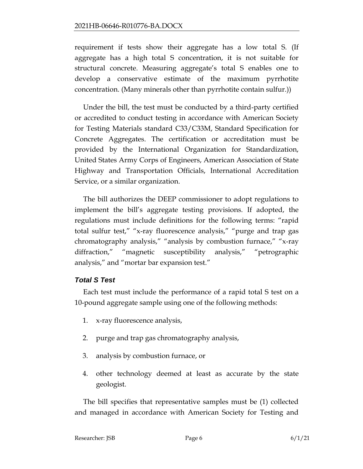requirement if tests show their aggregate has a low total S. (If aggregate has a high total S concentration, it is not suitable for structural concrete. Measuring aggregate's total S enables one to develop a conservative estimate of the maximum pyrrhotite concentration. (Many minerals other than pyrrhotite contain sulfur.))

Under the bill, the test must be conducted by a third-party certified or accredited to conduct testing in accordance with American Society for Testing Materials standard C33/C33M, Standard Specification for Concrete Aggregates. The certification or accreditation must be provided by the International Organization for Standardization, United States Army Corps of Engineers, American Association of State Highway and Transportation Officials, International Accreditation Service, or a similar organization.

The bill authorizes the DEEP commissioner to adopt regulations to implement the bill's aggregate testing provisions. If adopted, the regulations must include definitions for the following terms: "rapid total sulfur test," "x-ray fluorescence analysis," "purge and trap gas chromatography analysis," "analysis by combustion furnace," "x-ray diffraction," "magnetic susceptibility analysis," "petrographic analysis," and "mortar bar expansion test."

# *Total S Test*

Each test must include the performance of a rapid total S test on a 10-pound aggregate sample using one of the following methods:

- 1. x-ray fluorescence analysis,
- 2. purge and trap gas chromatography analysis,
- 3. analysis by combustion furnace, or
- 4. other technology deemed at least as accurate by the state geologist.

The bill specifies that representative samples must be (1) collected and managed in accordance with American Society for Testing and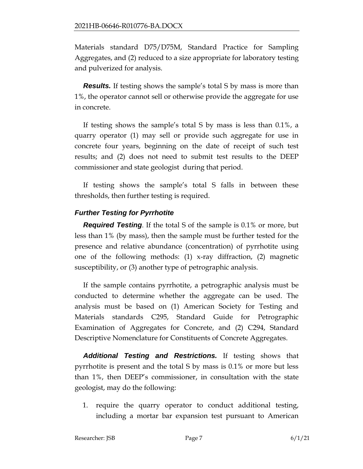Materials standard D75/D75M, Standard Practice for Sampling Aggregates, and (2) reduced to a size appropriate for laboratory testing and pulverized for analysis.

*Results.* If testing shows the sample's total S by mass is more than 1%, the operator cannot sell or otherwise provide the aggregate for use in concrete.

If testing shows the sample's total S by mass is less than 0.1%, a quarry operator (1) may sell or provide such aggregate for use in concrete four years, beginning on the date of receipt of such test results; and (2) does not need to submit test results to the DEEP commissioner and state geologist during that period.

If testing shows the sample's total S falls in between these thresholds, then further testing is required.

#### *Further Testing for Pyrrhotite*

*Required Testing*. If the total S of the sample is 0.1% or more, but less than 1% (by mass), then the sample must be further tested for the presence and relative abundance (concentration) of pyrrhotite using one of the following methods: (1) x-ray diffraction, (2) magnetic susceptibility, or (3) another type of petrographic analysis.

If the sample contains pyrrhotite, a petrographic analysis must be conducted to determine whether the aggregate can be used. The analysis must be based on (1) American Society for Testing and Materials standards C295, Standard Guide for Petrographic Examination of Aggregates for Concrete, and (2) C294, Standard Descriptive Nomenclature for Constituents of Concrete Aggregates.

*Additional Testing and Restrictions.* If testing shows that pyrrhotite is present and the total S by mass is 0.1% or more but less than 1%, then DEEP's commissioner, in consultation with the state geologist, may do the following:

1. require the quarry operator to conduct additional testing, including a mortar bar expansion test pursuant to American

Researcher: JSB **Page 7** 6/1/21